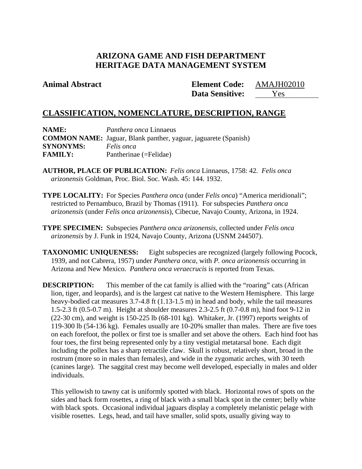# **ARIZONA GAME AND FISH DEPARTMENT HERITAGE DATA MANAGEMENT SYSTEM**

**Animal Abstract Element Code:** AMAJH02010 **Data Sensitive:** Yes

# **CLASSIFICATION, NOMENCLATURE, DESCRIPTION, RANGE**

**NAME:** *Panthera onca* Linnaeus **COMMON NAME:** Jaguar, Blank panther, yaguar, jaguarete (Spanish) **SYNONYMS:** *Felis onca* **FAMILY:** Pantherinae (=Felidae)

- **AUTHOR, PLACE OF PUBLICATION:** *Felis onca* Linnaeus, 1758: 42*. Felis onca arizonensis* Goldman, Proc. Biol. Soc. Wash. 45: 144. 1932.
- **TYPE LOCALITY:** For Species *Panthera onca* (under *Felis onca*) "America meridionali"; restricted to Pernambuco, Brazil by Thomas (1911). For subspecies *Panthera onca arizonensis* (under *Felis onca arizonensis*), Cibecue, Navajo County, Arizona, in 1924.
- **TYPE SPECIMEN:** Subspecies *Panthera onca arizonensis*, collected under *Felis onca arizonensis* by J. Funk in 1924, Navajo County, Arizona (USNM 244507).
- **TAXONOMIC UNIQUENESS:** Eight subspecies are recognized (largely following Pocock, 1939, and not Cabrera, 1957) under *Panthera onca*, with *P. onca arizonensis* occurring in Arizona and New Mexico. *Panthera onca veraecrucis* is reported from Texas.

**DESCRIPTION:** This member of the cat family is allied with the "roaring" cats (African lion, tiger, and leopards), and is the largest cat native to the Western Hemisphere. This large heavy-bodied cat measures 3.7-4.8 ft (1.13-1.5 m) in head and body, while the tail measures 1.5-2.3 ft (0.5-0.7 m). Height at shoulder measures 2.3-2.5 ft (0.7-0.8 m), hind foot 9-12 in (22-30 cm), and weight is 150-225 lb (68-101 kg). Whitaker, Jr. (1997) reports weights of 119-300 lb (54-136 kg). Females usually are 10-20% smaller than males. There are five toes on each forefoot, the pollex or first toe is smaller and set above the others. Each hind foot has four toes, the first being represented only by a tiny vestigial metatarsal bone. Each digit including the pollex has a sharp retractile claw. Skull is robust, relatively short, broad in the rostrum (more so in males than females), and wide in the zygomatic arches, with 30 teeth (canines large). The saggital crest may become well developed, especially in males and older individuals.

This yellowish to tawny cat is uniformly spotted with black. Horizontal rows of spots on the sides and back form rosettes, a ring of black with a small black spot in the center; belly white with black spots. Occasional individual jaguars display a completely melanistic pelage with visible rosettes. Legs, head, and tail have smaller, solid spots, usually giving way to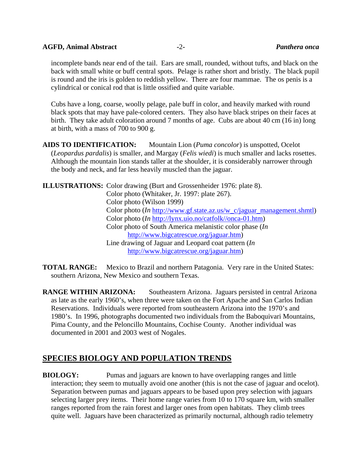### **AGFD, Animal Abstract -**2**-** *Panthera onca*

incomplete bands near end of the tail. Ears are small, rounded, without tufts, and black on the back with small white or buff central spots. Pelage is rather short and bristly. The black pupil is round and the iris is golden to reddish yellow. There are four mammae. The os penis is a cylindrical or conical rod that is little ossified and quite variable.

Cubs have a long, coarse, woolly pelage, pale buff in color, and heavily marked with round black spots that may have pale-colored centers. They also have black stripes on their faces at birth. They take adult coloration around 7 months of age. Cubs are about 40 cm (16 in) long at birth, with a mass of 700 to 900 g.

**AIDS TO IDENTIFICATION:** Mountain Lion (*Puma concolor*) is unspotted, Ocelot (*Leopardus pardalis*) is smaller, and Margay (*Felis wiedi*) is much smaller and lacks rosettes. Although the mountain lion stands taller at the shoulder, it is considerably narrower through the body and neck, and far less heavily muscled than the jaguar.

**ILLUSTRATIONS:** Color drawing (Burt and Grossenheider 1976: plate 8). Color photo (Whitaker, Jr. 1997: plate 267). Color photo (Wilson 1999) Color photo (*In* http://www.gf.state.az.us/w\_c/jaguar\_management.shmtl) Color photo (*In* http://lynx.uio.no/catfolk//onca-01.htm) Color photo of South America melanistic color phase (*In* http://www.bigcatrescue.org/jaguar.htm) Line drawing of Jaguar and Leopard coat pattern (*In* http://www.bigcatrescue.org/jaguar.htm)

**TOTAL RANGE:** Mexico to Brazil and northern Patagonia. Very rare in the United States: southern Arizona, New Mexico and southern Texas.

**RANGE WITHIN ARIZONA:** Southeastern Arizona. Jaguars persisted in central Arizona as late as the early 1960's, when three were taken on the Fort Apache and San Carlos Indian Reservations. Individuals were reported from southeastern Arizona into the 1970's and 1980's. In 1996, photographs documented two individuals from the Baboquivari Mountains, Pima County, and the Peloncillo Mountains, Cochise County. Another individual was documented in 2001 and 2003 west of Nogales.

# **SPECIES BIOLOGY AND POPULATION TRENDS**

**BIOLOGY:** Pumas and jaguars are known to have overlapping ranges and little interaction; they seem to mutually avoid one another (this is not the case of jaguar and ocelot). Separation between pumas and jaguars appears to be based upon prey selection with jaguars selecting larger prey items. Their home range varies from 10 to 170 square km, with smaller ranges reported from the rain forest and larger ones from open habitats. They climb trees quite well. Jaguars have been characterized as primarily nocturnal, although radio telemetry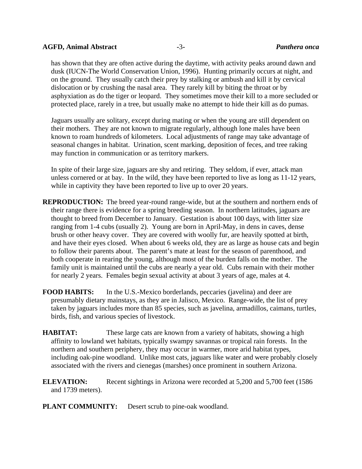### **AGFD, Animal Abstract -**3**-** *Panthera onca*

has shown that they are often active during the daytime, with activity peaks around dawn and dusk (IUCN-The World Conservation Union, 1996). Hunting primarily occurs at night, and on the ground. They usually catch their prey by stalking or ambush and kill it by cervical dislocation or by crushing the nasal area. They rarely kill by biting the throat or by asphyxiation as do the tiger or leopard. They sometimes move their kill to a more secluded or protected place, rarely in a tree, but usually make no attempt to hide their kill as do pumas.

Jaguars usually are solitary, except during mating or when the young are still dependent on their mothers. They are not known to migrate regularly, although lone males have been known to roam hundreds of kilometers. Local adjustments of range may take advantage of seasonal changes in habitat. Urination, scent marking, deposition of feces, and tree raking may function in communication or as territory markers.

In spite of their large size, jaguars are shy and retiring. They seldom, if ever, attack man unless cornered or at bay. In the wild, they have been reported to live as long as 11-12 years, while in captivity they have been reported to live up to over 20 years.

- **REPRODUCTION:** The breed year-round range-wide, but at the southern and northern ends of their range there is evidence for a spring breeding season. In northern latitudes, jaguars are thought to breed from December to January. Gestation is about 100 days, with litter size ranging from 1-4 cubs (usually 2). Young are born in April-May, in dens in caves, dense brush or other heavy cover. They are covered with woolly fur, are heavily spotted at birth, and have their eyes closed. When about 6 weeks old, they are as large as house cats and begin to follow their parents about. The parent's mate at least for the season of parenthood, and both cooperate in rearing the young, although most of the burden falls on the mother. The family unit is maintained until the cubs are nearly a year old. Cubs remain with their mother for nearly 2 years. Females begin sexual activity at about 3 years of age, males at 4.
- **FOOD HABITS:** In the U.S.-Mexico borderlands, peccaries (javelina) and deer are presumably dietary mainstays, as they are in Jalisco, Mexico. Range-wide, the list of prey taken by jaguars includes more than 85 species, such as javelina, armadillos, caimans, turtles, birds, fish, and various species of livestock.
- **HABITAT:** These large cats are known from a variety of habitats, showing a high affinity to lowland wet habitats, typically swampy savannas or tropical rain forests. In the northern and southern periphery, they may occur in warmer, more arid habitat types, including oak-pine woodland. Unlike most cats, jaguars like water and were probably closely associated with the rivers and cienegas (marshes) once prominent in southern Arizona.
- **ELEVATION:** Recent sightings in Arizona were recorded at 5,200 and 5,700 feet (1586 and 1739 meters).
- **PLANT COMMUNITY:** Desert scrub to pine-oak woodland.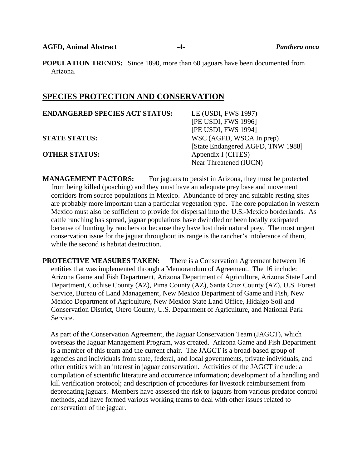**POPULATION TRENDS:** Since 1890, more than 60 jaguars have been documented from Arizona.

## **SPECIES PROTECTION AND CONSERVATION**

| <b>ENDANGERED SPECIES ACT STATUS:</b> | LE (USDI, FWS 1997)               |
|---------------------------------------|-----------------------------------|
|                                       | [PE USDI, FWS 1996]               |
|                                       | [PE USDI, FWS 1994]               |
| <b>STATE STATUS:</b>                  | WSC (AGFD, WSCA In prep)          |
|                                       | [State Endangered AGFD, TNW 1988] |
| <b>OTHER STATUS:</b>                  | Appendix I (CITES)                |
|                                       | Near Threatened (IUCN)            |
|                                       |                                   |

**MANAGEMENT FACTORS:** For jaguars to persist in Arizona, they must be protected from being killed (poaching) and they must have an adequate prey base and movement corridors from source populations in Mexico. Abundance of prey and suitable resting sites are probably more important than a particular vegetation type. The core population in western Mexico must also be sufficient to provide for dispersal into the U.S.-Mexico borderlands. As cattle ranching has spread, jaguar populations have dwindled or been locally extirpated because of hunting by ranchers or because they have lost their natural prey. The most urgent conservation issue for the jaguar throughout its range is the rancher's intolerance of them, while the second is habitat destruction.

**PROTECTIVE MEASURES TAKEN:** There is a Conservation Agreement between 16 entities that was implemented through a Memorandum of Agreement. The 16 include: Arizona Game and Fish Department, Arizona Department of Agriculture, Arizona State Land Department, Cochise County (AZ), Pima County (AZ), Santa Cruz County (AZ), U.S. Forest Service, Bureau of Land Management, New Mexico Department of Game and Fish, New Mexico Department of Agriculture, New Mexico State Land Office, Hidalgo Soil and Conservation District, Otero County, U.S. Department of Agriculture, and National Park Service.

As part of the Conservation Agreement, the Jaguar Conservation Team (JAGCT), which overseas the Jaguar Management Program, was created. Arizona Game and Fish Department is a member of this team and the current chair. The JAGCT is a broad-based group of agencies and individuals from state, federal, and local governments, private individuals, and other entities with an interest in jaguar conservation. Activities of the JAGCT include: a compilation of scientific literature and occurrence information; development of a handling and kill verification protocol; and description of procedures for livestock reimbursement from depredating jaguars. Members have assessed the risk to jaguars from various predator control methods, and have formed various working teams to deal with other issues related to conservation of the jaguar.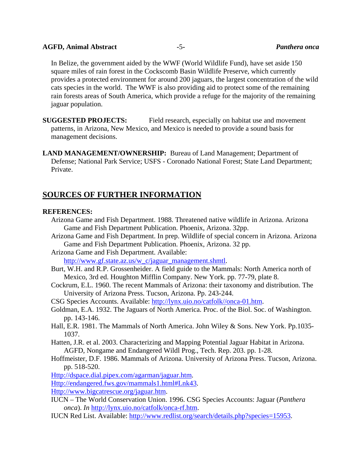### **AGFD, Animal Abstract -**5**-** *Panthera onca*

 In Belize, the government aided by the WWF (World Wildlife Fund), have set aside 150 square miles of rain forest in the Cockscomb Basin Wildlife Preserve, which currently provides a protected environment for around 200 jaguars, the largest concentration of the wild cats species in the world. The WWF is also providing aid to protect some of the remaining rain forests areas of South America, which provide a refuge for the majority of the remaining jaguar population.

**SUGGESTED PROJECTS:** Field research, especially on habitat use and movement patterns, in Arizona, New Mexico, and Mexico is needed to provide a sound basis for management decisions.

**LAND MANAGEMENT/OWNERSHIP:** Bureau of Land Management; Department of Defense; National Park Service; USFS - Coronado National Forest; State Land Department; Private.

## **SOURCES OF FURTHER INFORMATION**

## **REFERENCES:**

- Arizona Game and Fish Department. 1988. Threatened native wildlife in Arizona. Arizona Game and Fish Department Publication. Phoenix, Arizona. 32pp.
- Arizona Game and Fish Department. In prep. Wildlife of special concern in Arizona. Arizona Game and Fish Department Publication. Phoenix, Arizona. 32 pp.
- Arizona Game and Fish Department. Available: http://www.gf.state.az.us/w\_c/jaguar\_management.shmtl.
- Burt, W.H. and R.P. Grossenheider. A field guide to the Mammals: North America north of Mexico, 3rd ed. Houghton Mifflin Company. New York. pp. 77-79, plate 8.
- Cockrum, E.L. 1960. The recent Mammals of Arizona: their taxonomy and distribution. The University of Arizona Press. Tucson, Arizona. Pp. 243-244.

CSG Species Accounts. Available: http://lynx.uio.no/catfolk//onca-01.htm.

- Goldman, E.A. 1932. The Jaguars of North America. Proc. of the Biol. Soc. of Washington. pp. 143-146.
- Hall, E.R. 1981. The Mammals of North America. John Wiley & Sons. New York. Pp.1035- 1037.
- Hatten, J.R. et al. 2003. Characterizing and Mapping Potential Jaguar Habitat in Arizona. AGFD, Nongame and Endangered Wildl Prog., Tech. Rep. 203. pp. 1-28.
- Hoffmeister, D.F. 1986. Mammals of Arizona. University of Arizona Press. Tucson, Arizona. pp. 518-520.

Http://dspace.dial.pipex.com/agarman/jaguar.htm.

Http://endangered.fws.gov/mammals1.html#Lnk43.

Http://www.bigcatrescue.org/jaguar.htm.

- IUCN The World Conservation Union. 1996. CSG Species Accounts: Jaguar (*Panthera onca*). *In* http://lynx.uio.no/catfolk/onca-rf.htm.
- IUCN Red List. Available: http://www.redlist.org/search/details.php?species=15953.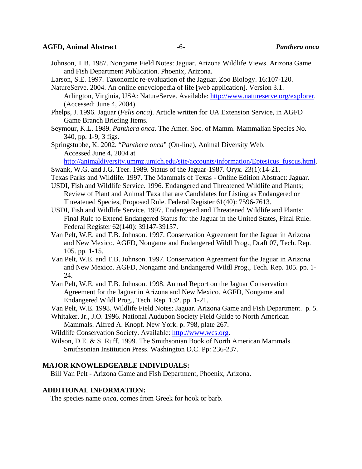#### **AGFD, Animal Abstract -**6**-** *Panthera onca*

- Johnson, T.B. 1987. Nongame Field Notes: Jaguar. Arizona Wildlife Views. Arizona Game and Fish Department Publication. Phoenix, Arizona.
- Larson, S.E. 1997. Taxonomic re-evaluation of the Jaguar. Zoo Biology. 16:107-120.
- NatureServe. 2004. An online encyclopedia of life [web application]. Version 3.1. Arlington, Virginia, USA: NatureServe. Available: http://www.natureserve.org/explorer. (Accessed: June 4, 2004).
- Phelps, J. 1996. Jaguar (*Felis onca*). Article written for UA Extension Service, in AGFD Game Branch Briefing Items.
- Seymour, K.L. 1989. *Panthera onca*. The Amer. Soc. of Mamm. Mammalian Species No. 340, pp. 1-9, 3 figs.

 Springstubbe, K. 2002. "*Panthera onca*" (On-line), Animal Diversity Web. Accessed June 4, 2004 at

http://animaldiversity.ummz.umich.edu/site/accounts/information/Eptesicus\_fuscus.html.

- Swank, W.G. and J.G. Teer. 1989. Status of the Jaguar-1987. Oryx. 23(1):14-21.
- Texas Parks and Wildlife. 1997. The Mammals of Texas Online Edition Abstract: Jaguar.
- USDI, Fish and Wildlife Service. 1996. Endangered and Threatened Wildlife and Plants; Review of Plant and Animal Taxa that are Candidates for Listing as Endangered or Threatened Species, Proposed Rule. Federal Register 61(40): 7596-7613.
- USDI, Fish and Wildlife Service. 1997. Endangered and Threatened Wildlife and Plants: Final Rule to Extend Endangered Status for the Jaguar in the United States, Final Rule. Federal Register 62(140): 39147-39157.
- Van Pelt, W.E. and T.B. Johnson. 1997. Conservation Agreement for the Jaguar in Arizona and New Mexico. AGFD, Nongame and Endangered Wildl Prog., Draft 07, Tech. Rep. 105. pp. 1-15.
- Van Pelt, W.E. and T.B. Johnson. 1997. Conservation Agreement for the Jaguar in Arizona and New Mexico. AGFD, Nongame and Endangered Wildl Prog., Tech. Rep. 105. pp. 1- 24.
- Van Pelt, W.E. and T.B. Johnson. 1998. Annual Report on the Jaguar Conservation Agreement for the Jaguar in Arizona and New Mexico. AGFD, Nongame and Endangered Wildl Prog., Tech. Rep. 132. pp. 1-21.

Van Pelt, W.E. 1998. Wildlife Field Notes: Jaguar. Arizona Game and Fish Department. p. 5.

Whitaker, Jr., J.O. 1996. National Audubon Society Field Guide to North American Mammals. Alfred A. Knopf. New York. p. 798, plate 267.

Wildlife Conservation Society. Available: http://www.wcs.org.

Wilson, D.E. & S. Ruff. 1999. The Smithsonian Book of North American Mammals. Smithsonian Institution Press. Washington D.C. Pp: 236-237.

## **MAJOR KNOWLEDGEABLE INDIVIDUALS:**

Bill Van Pelt - Arizona Game and Fish Department, Phoenix, Arizona.

#### **ADDITIONAL INFORMATION:**

The species name *onca*, comes from Greek for hook or barb.